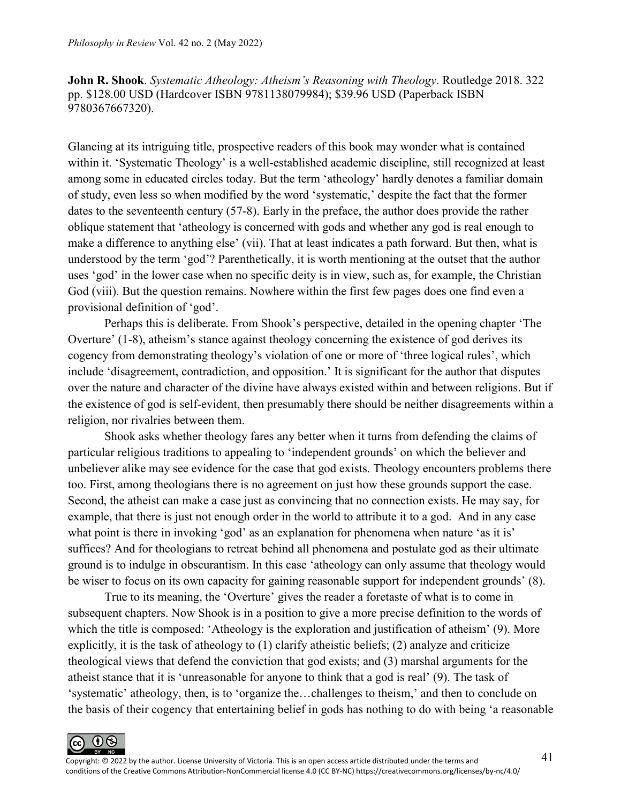**John R. Shook**. *Systematic Atheology: Atheism's Reasoning with Theology*. Routledge 2018. 322 pp. \$128.00 USD (Hardcover ISBN 9781138079984); \$39.96 USD (Paperback ISBN 9780367667320).

Glancing at its intriguing title, prospective readers of this book may wonder what is contained within it. 'Systematic Theology' is a well-established academic discipline, still recognized at least among some in educated circles today. But the term 'atheology' hardly denotes a familiar domain of study, even less so when modified by the word 'systematic,' despite the fact that the former dates to the seventeenth century (57-8). Early in the preface, the author does provide the rather oblique statement that 'atheology is concerned with gods and whether any god is real enough to make a difference to anything else' (vii). That at least indicates a path forward. But then, what is understood by the term 'god'? Parenthetically, it is worth mentioning at the outset that the author uses 'god' in the lower case when no specific deity is in view, such as, for example, the Christian God (viii). But the question remains. Nowhere within the first few pages does one find even a provisional definition of 'god'.

Perhaps this is deliberate. From Shook's perspective, detailed in the opening chapter 'The Overture' (1-8), atheism's stance against theology concerning the existence of god derives its cogency from demonstrating theology's violation of one or more of 'three logical rules', which include 'disagreement, contradiction, and opposition.' It is significant for the author that disputes over the nature and character of the divine have always existed within and between religions. But if the existence of god is self-evident, then presumably there should be neither disagreements within a religion, nor rivalries between them.

Shook asks whether theology fares any better when it turns from defending the claims of particular religious traditions to appealing to 'independent grounds' on which the believer and unbeliever alike may see evidence for the case that god exists. Theology encounters problems there too. First, among theologians there is no agreement on just how these grounds support the case. Second, the atheist can make a case just as convincing that no connection exists. He may say, for example, that there is just not enough order in the world to attribute it to a god. And in any case what point is there in invoking 'god' as an explanation for phenomena when nature 'as it is' suffices? And for theologians to retreat behind all phenomena and postulate god as their ultimate ground is to indulge in obscurantism. In this case 'atheology can only assume that theology would be wiser to focus on its own capacity for gaining reasonable support for independent grounds' (8).

True to its meaning, the 'Overture' gives the reader a foretaste of what is to come in subsequent chapters. Now Shook is in a position to give a more precise definition to the words of which the title is composed: 'Atheology is the exploration and justification of atheism' (9). More explicitly, it is the task of atheology to (1) clarify atheistic beliefs; (2) analyze and criticize theological views that defend the conviction that god exists; and (3) marshal arguments for the atheist stance that it is 'unreasonable for anyone to think that a god is real' (9). The task of 'systematic' atheology, then, is to 'organize the…challenges to theism,' and then to conclude on the basis of their cogency that entertaining belief in gods has nothing to do with being 'a reasonable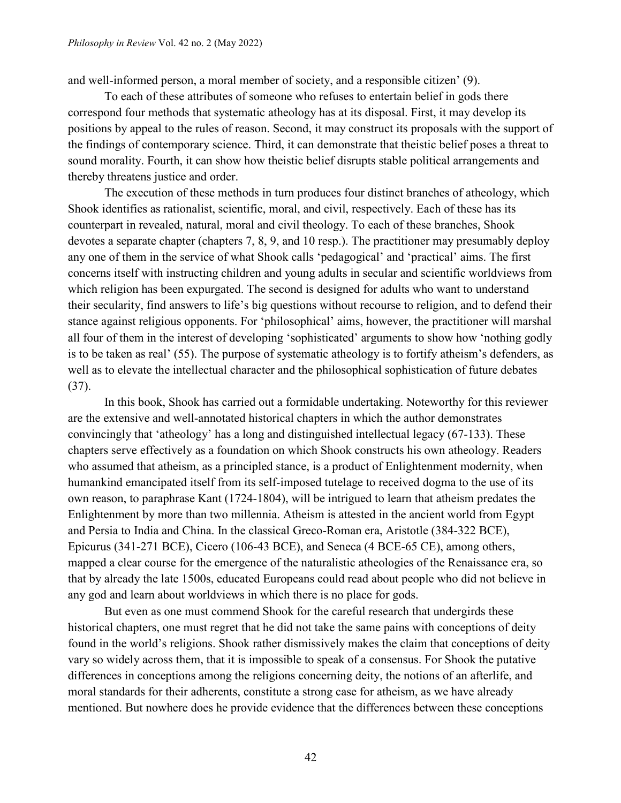and well-informed person, a moral member of society, and a responsible citizen' (9).

To each of these attributes of someone who refuses to entertain belief in gods there correspond four methods that systematic atheology has at its disposal. First, it may develop its positions by appeal to the rules of reason. Second, it may construct its proposals with the support of the findings of contemporary science. Third, it can demonstrate that theistic belief poses a threat to sound morality. Fourth, it can show how theistic belief disrupts stable political arrangements and thereby threatens justice and order.

The execution of these methods in turn produces four distinct branches of atheology, which Shook identifies as rationalist, scientific, moral, and civil, respectively. Each of these has its counterpart in revealed, natural, moral and civil theology. To each of these branches, Shook devotes a separate chapter (chapters 7, 8, 9, and 10 resp.). The practitioner may presumably deploy any one of them in the service of what Shook calls 'pedagogical' and 'practical' aims. The first concerns itself with instructing children and young adults in secular and scientific worldviews from which religion has been expurgated. The second is designed for adults who want to understand their secularity, find answers to life's big questions without recourse to religion, and to defend their stance against religious opponents. For 'philosophical' aims, however, the practitioner will marshal all four of them in the interest of developing 'sophisticated' arguments to show how 'nothing godly is to be taken as real' (55). The purpose of systematic atheology is to fortify atheism's defenders, as well as to elevate the intellectual character and the philosophical sophistication of future debates (37).

In this book, Shook has carried out a formidable undertaking. Noteworthy for this reviewer are the extensive and well-annotated historical chapters in which the author demonstrates convincingly that 'atheology' has a long and distinguished intellectual legacy (67-133). These chapters serve effectively as a foundation on which Shook constructs his own atheology. Readers who assumed that atheism, as a principled stance, is a product of Enlightenment modernity, when humankind emancipated itself from its self-imposed tutelage to received dogma to the use of its own reason, to paraphrase Kant (1724-1804), will be intrigued to learn that atheism predates the Enlightenment by more than two millennia. Atheism is attested in the ancient world from Egypt and Persia to India and China. In the classical Greco-Roman era, Aristotle (384-322 BCE), Epicurus (341-271 BCE), Cicero (106-43 BCE), and Seneca (4 BCE-65 CE), among others, mapped a clear course for the emergence of the naturalistic atheologies of the Renaissance era, so that by already the late 1500s, educated Europeans could read about people who did not believe in any god and learn about worldviews in which there is no place for gods.

But even as one must commend Shook for the careful research that undergirds these historical chapters, one must regret that he did not take the same pains with conceptions of deity found in the world's religions. Shook rather dismissively makes the claim that conceptions of deity vary so widely across them, that it is impossible to speak of a consensus. For Shook the putative differences in conceptions among the religions concerning deity, the notions of an afterlife, and moral standards for their adherents, constitute a strong case for atheism, as we have already mentioned. But nowhere does he provide evidence that the differences between these conceptions